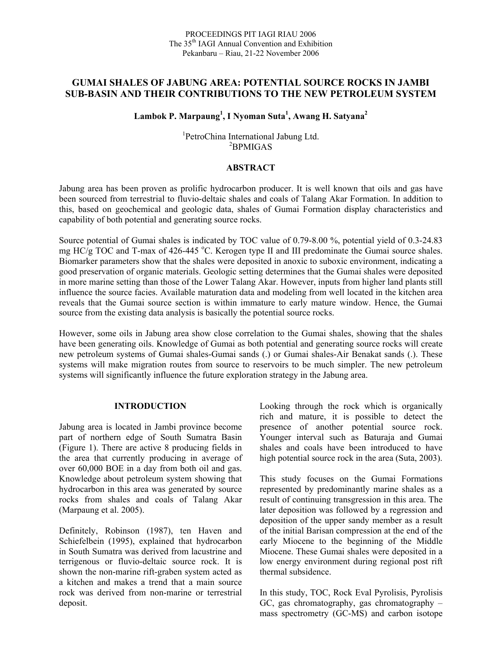# **GUMAI SHALES OF JABUNG AREA: POTENTIAL SOURCE ROCKS IN JAMBI SUB-BASIN AND THEIR CONTRIBUTIONS TO THE NEW PETROLEUM SYSTEM**

# **Lambok P. Marpaung<sup>1</sup> , I Nyoman Suta<sup>1</sup> , Awang H. Satyana2**

1 PetroChina International Jabung Ltd. 2 BPMIGAS

#### **ABSTRACT**

Jabung area has been proven as prolific hydrocarbon producer. It is well known that oils and gas have been sourced from terrestrial to fluvio-deltaic shales and coals of Talang Akar Formation. In addition to this, based on geochemical and geologic data, shales of Gumai Formation display characteristics and capability of both potential and generating source rocks.

Source potential of Gumai shales is indicated by TOC value of 0.79-8.00 %, potential yield of 0.3-24.83 mg  $HC/g$  TOC and T-max of 426-445 °C. Kerogen type II and III predominate the Gumai source shales. Biomarker parameters show that the shales were deposited in anoxic to suboxic environment, indicating a good preservation of organic materials. Geologic setting determines that the Gumai shales were deposited in more marine setting than those of the Lower Talang Akar. However, inputs from higher land plants still influence the source facies. Available maturation data and modeling from well located in the kitchen area reveals that the Gumai source section is within immature to early mature window. Hence, the Gumai source from the existing data analysis is basically the potential source rocks.

However, some oils in Jabung area show close correlation to the Gumai shales, showing that the shales have been generating oils. Knowledge of Gumai as both potential and generating source rocks will create new petroleum systems of Gumai shales-Gumai sands (.) or Gumai shales-Air Benakat sands (.). These systems will make migration routes from source to reservoirs to be much simpler. The new petroleum systems will significantly influence the future exploration strategy in the Jabung area.

#### **INTRODUCTION**

Jabung area is located in Jambi province become part of northern edge of South Sumatra Basin (Figure 1). There are active 8 producing fields in the area that currently producing in average of over 60,000 BOE in a day from both oil and gas. Knowledge about petroleum system showing that hydrocarbon in this area was generated by source rocks from shales and coals of Talang Akar (Marpaung et al. 2005).

Definitely, Robinson (1987), ten Haven and Schiefelbein (1995), explained that hydrocarbon in South Sumatra was derived from lacustrine and terrigenous or fluvio-deltaic source rock. It is shown the non-marine rift-graben system acted as a kitchen and makes a trend that a main source rock was derived from non-marine or terrestrial deposit.

Looking through the rock which is organically rich and mature, it is possible to detect the presence of another potential source rock. Younger interval such as Baturaja and Gumai shales and coals have been introduced to have high potential source rock in the area (Suta, 2003).

This study focuses on the Gumai Formations represented by predominantly marine shales as a result of continuing transgression in this area. The later deposition was followed by a regression and deposition of the upper sandy member as a result of the initial Barisan compression at the end of the early Miocene to the beginning of the Middle Miocene. These Gumai shales were deposited in a low energy environment during regional post rift thermal subsidence.

In this study, TOC, Rock Eval Pyrolisis, Pyrolisis GC, gas chromatography, gas chromatography – mass spectrometry (GC-MS) and carbon isotope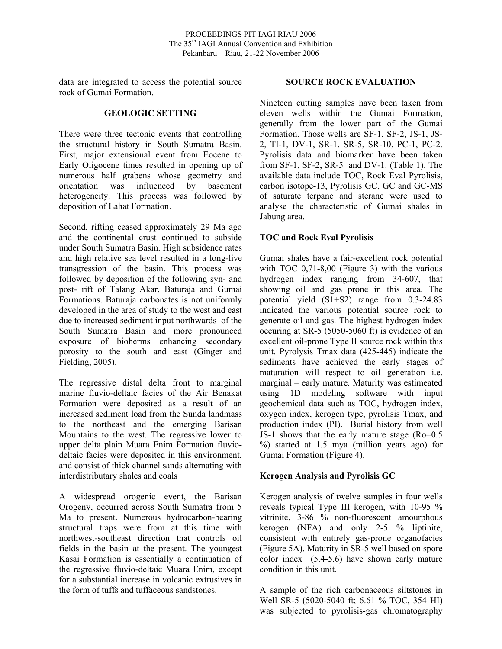data are integrated to access the potential source rock of Gumai Formation.

#### **GEOLOGIC SETTING**

There were three tectonic events that controlling the structural history in South Sumatra Basin. First, major extensional event from Eocene to Early Oligocene times resulted in opening up of numerous half grabens whose geometry and orientation was influenced by basement heterogeneity. This process was followed by deposition of Lahat Formation.

Second, rifting ceased approximately 29 Ma ago and the continental crust continued to subside under South Sumatra Basin. High subsidence rates and high relative sea level resulted in a long-live transgression of the basin. This process was followed by deposition of the following syn- and post- rift of Talang Akar, Baturaja and Gumai Formations. Baturaja carbonates is not uniformly developed in the area of study to the west and east due to increased sediment input northwards of the South Sumatra Basin and more pronounced exposure of bioherms enhancing secondary porosity to the south and east (Ginger and Fielding, 2005).

The regressive distal delta front to marginal marine fluvio-deltaic facies of the Air Benakat Formation were deposited as a result of an increased sediment load from the Sunda landmass to the northeast and the emerging Barisan Mountains to the west. The regressive lower to upper delta plain Muara Enim Formation fluviodeltaic facies were deposited in this environment, and consist of thick channel sands alternating with interdistributary shales and coals

A widespread orogenic event, the Barisan Orogeny, occurred across South Sumatra from 5 Ma to present. Numerous hydrocarbon-bearing structural traps were from at this time with northwest-southeast direction that controls oil fields in the basin at the present. The youngest Kasai Formation is essentially a continuation of the regressive fluvio-deltaic Muara Enim, except for a substantial increase in volcanic extrusives in the form of tuffs and tuffaceous sandstones.

## **SOURCE ROCK EVALUATION**

Nineteen cutting samples have been taken from eleven wells within the Gumai Formation, generally from the lower part of the Gumai Formation. Those wells are SF-1, SF-2, JS-1, JS-2, TI-1, DV-1, SR-1, SR-5, SR-10, PC-1, PC-2. Pyrolisis data and biomarker have been taken from SF-1, SF-2, SR-5 and DV-1. (Table 1). The available data include TOC, Rock Eval Pyrolisis, carbon isotope-13, Pyrolisis GC, GC and GC-MS of saturate terpane and sterane were used to analyse the characteristic of Gumai shales in Jabung area.

## **TOC and Rock Eval Pyrolisis**

Gumai shales have a fair-excellent rock potential with TOC 0,71-8,00 (Figure 3) with the various hydrogen index ranging from 34-607, that showing oil and gas prone in this area. The potential yield (S1+S2) range from 0.3-24.83 indicated the various potential source rock to generate oil and gas. The highest hydrogen index occuring at SR-5 (5050-5060 ft) is evidence of an excellent oil-prone Type II source rock within this unit. Pyrolysis Tmax data (425-445) indicate the sediments have achieved the early stages of maturation will respect to oil generation i.e. marginal – early mature. Maturity was estimeated using 1D modeling software with input geochemical data such as TOC, hydrogen index, oxygen index, kerogen type, pyrolisis Tmax, and production index (PI). Burial history from well JS-1 shows that the early mature stage (Ro=0.5 %) started at 1.5 mya (million years ago) for Gumai Formation (Figure 4).

# **Kerogen Analysis and Pyrolisis GC**

Kerogen analysis of twelve samples in four wells reveals typical Type III kerogen, with 10-95 % vitrinite, 3-86 % non-fluorescent amourphous kerogen (NFA) and only 2-5 % liptinite, consistent with entirely gas-prone organofacies (Figure 5A). Maturity in SR-5 well based on spore color index (5.4-5.6) have shown early mature condition in this unit.

A sample of the rich carbonaceous siltstones in Well SR-5 (5020-5040 ft; 6.61 % TOC, 354 HI) was subjected to pyrolisis-gas chromatography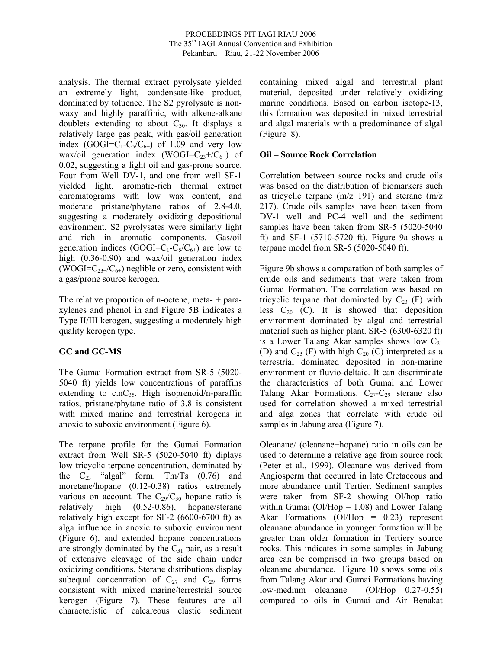analysis. The thermal extract pyrolysate yielded an extremely light, condensate-like product, dominated by toluence. The S2 pyrolysate is nonwaxy and highly paraffinic, with alkene-alkane doublets extending to about  $C_{30}$ . It displays a relatively large gas peak, with gas/oil generation index  $(GOGI=C_1-C_5/C_{6+})$  of 1.09 and very low wax/oil generation index (WOGI= $C_{23}+/C_{6+}$ ) of 0.02, suggesting a light oil and gas-prone source. Four from Well DV-1, and one from well SF-1 yielded light, aromatic-rich thermal extract chromatograms with low wax content, and moderate pristane/phytane ratios of 2.8-4.0, suggesting a moderately oxidizing depositional environment. S2 pyrolysates were similarly light and rich in aromatic components. Gas/oil generation indices (GOGI= $C_1$ - $C_5/C_{6+}$ ) are low to high (0.36-0.90) and wax/oil generation index (WOGI= $C_{23+}/C_{6+}$ ) neglible or zero, consistent with a gas/prone source kerogen.

The relative proportion of n-octene, meta- + paraxylenes and phenol in and Figure 5B indicates a Type II/III kerogen, suggesting a moderately high quality kerogen type.

# **GC and GC-MS**

The Gumai Formation extract from SR-5 (5020- 5040 ft) yields low concentrations of paraffins extending to  $c.nC_3$ . High isoprenoid/n-paraffin ratios, pristane/phytane ratio of 3.8 is consistent with mixed marine and terrestrial kerogens in anoxic to suboxic environment (Figure 6).

The terpane profile for the Gumai Formation extract from Well SR-5 (5020-5040 ft) diplays low tricyclic terpane concentration, dominated by the  $C_{23}$  "algal" form. Tm/Ts  $(0.76)$  and moretane/hopane (0.12-0.38) ratios extremely various on account. The  $C_{29}/C_{30}$  hopane ratio is relatively high (0.52-0.86), hopane/sterane relatively high except for SF-2 (6600-6700 ft) as alga influence in anoxic to suboxic environment (Figure 6), and extended hopane concentrations are strongly dominated by the  $C_{31}$  pair, as a result of extensive cleavage of the side chain under oxidizing conditions. Sterane distributions display subequal concentration of  $C_{27}$  and  $C_{29}$  forms consistent with mixed marine/terrestrial source kerogen (Figure 7). These features are all characteristic of calcareous clastic sediment

containing mixed algal and terrestrial plant material, deposited under relatively oxidizing marine conditions. Based on carbon isotope-13, this formation was deposited in mixed terrestrial and algal materials with a predominance of algal (Figure 8).

## **Oil – Source Rock Correlation**

Correlation between source rocks and crude oils was based on the distribution of biomarkers such as tricyclic terpane (m/z 191) and sterane (m/z 217). Crude oils samples have been taken from DV-1 well and PC-4 well and the sediment samples have been taken from SR-5 (5020-5040 ft) and SF-1 (5710-5720 ft). Figure 9a shows a terpane model from SR-5 (5020-5040 ft).

Figure 9b shows a comparation of both samples of crude oils and sediments that were taken from Gumai Formation. The correlation was based on tricyclic terpane that dominated by  $C_{23}$  (F) with less  $C_{20}$  (C). It is showed that deposition environment dominated by algal and terrestrial material such as higher plant. SR-5 (6300-6320 ft) is a Lower Talang Akar samples shows low  $C_{21}$ (D) and  $C_{23}$  (F) with high  $C_{20}$  (C) interpreted as a terrestrial dominated deposited in non-marine environment or fluvio-deltaic. It can discriminate the characteristics of both Gumai and Lower Talang Akar Formations.  $C_{27}-C_{29}$  sterane also used for correlation showed a mixed terrestrial and alga zones that correlate with crude oil samples in Jabung area (Figure 7).

Oleanane/ (oleanane+hopane) ratio in oils can be used to determine a relative age from source rock (Peter et al., 1999). Oleanane was derived from Angiosperm that occurred in late Cretaceous and more abundance until Tertier. Sediment samples were taken from SF-2 showing Ol/hop ratio within Gumai ( $O$ *l*/Hop = 1.08) and Lower Talang Akar Formations (Ol/Hop  $= 0.23$ ) represent oleanane abundance in younger formation will be greater than older formation in Tertiery source rocks. This indicates in some samples in Jabung area can be comprised in two groups based on oleanane abundance. Figure 10 shows some oils from Talang Akar and Gumai Formations having low-medium oleanane (Ol/Hop 0.27-0.55) compared to oils in Gumai and Air Benakat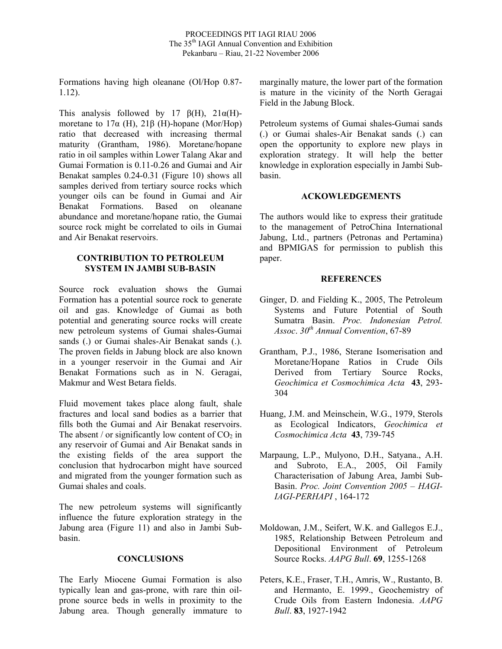Formations having high oleanane (Ol/Hop 0.87- 1.12).

This analysis followed by 17  $\beta(H)$ , 21 $\alpha(H)$ moretane to  $17\alpha$  (H),  $21\beta$  (H)-hopane (Mor/Hop) ratio that decreased with increasing thermal maturity (Grantham, 1986). Moretane/hopane ratio in oil samples within Lower Talang Akar and Gumai Formation is 0.11-0.26 and Gumai and Air Benakat samples 0.24-0.31 (Figure 10) shows all samples derived from tertiary source rocks which younger oils can be found in Gumai and Air Benakat Formations. Based on oleanane abundance and moretane/hopane ratio, the Gumai source rock might be correlated to oils in Gumai and Air Benakat reservoirs.

### **CONTRIBUTION TO PETROLEUM SYSTEM IN JAMBI SUB-BASIN**

Source rock evaluation shows the Gumai Formation has a potential source rock to generate oil and gas. Knowledge of Gumai as both potential and generating source rocks will create new petroleum systems of Gumai shales-Gumai sands (.) or Gumai shales-Air Benakat sands (.). The proven fields in Jabung block are also known in a younger reservoir in the Gumai and Air Benakat Formations such as in N. Geragai, Makmur and West Betara fields.

Fluid movement takes place along fault, shale fractures and local sand bodies as a barrier that fills both the Gumai and Air Benakat reservoirs. The absent / or significantly low content of  $CO<sub>2</sub>$  in any reservoir of Gumai and Air Benakat sands in the existing fields of the area support the conclusion that hydrocarbon might have sourced and migrated from the younger formation such as Gumai shales and coals.

The new petroleum systems will significantly influence the future exploration strategy in the Jabung area (Figure 11) and also in Jambi Subbasin.

### **CONCLUSIONS**

The Early Miocene Gumai Formation is also typically lean and gas-prone, with rare thin oilprone source beds in wells in proximity to the Jabung area. Though generally immature to marginally mature, the lower part of the formation is mature in the vicinity of the North Geragai Field in the Jabung Block.

Petroleum systems of Gumai shales-Gumai sands (.) or Gumai shales-Air Benakat sands (.) can open the opportunity to explore new plays in exploration strategy. It will help the better knowledge in exploration especially in Jambi Subbasin.

### **ACKOWLEDGEMENTS**

The authors would like to express their gratitude to the management of PetroChina International Jabung, Ltd., partners (Petronas and Pertamina) and BPMIGAS for permission to publish this paper.

## **REFERENCES**

- Ginger, D. and Fielding K., 2005, The Petroleum Systems and Future Potential of South Sumatra Basin. *Proc. Indonesian Petrol. Assoc*. *30th Annual Convention*, 67-89
- Grantham, P.J., 1986, Sterane Isomerisation and Moretane/Hopane Ratios in Crude Oils Derived from Tertiary Source Rocks, *Geochimica et Cosmochimica Acta* **43**, 293- 304
- Huang, J.M. and Meinschein, W.G., 1979, Sterols as Ecological Indicators, *Geochimica et Cosmochimica Acta* **43**, 739-745
- Marpaung, L.P., Mulyono, D.H., Satyana., A.H. and Subroto, E.A., 2005, Oil Family Characterisation of Jabung Area, Jambi Sub-Basin. *Proc. Joint Convention 2005 – HAGI-IAGI-PERHAPI* , 164-172
- Moldowan, J.M., Seifert, W.K. and Gallegos E.J., 1985, Relationship Between Petroleum and Depositional Environment of Petroleum Source Rocks. *AAPG Bull*. **69**, 1255-1268
- Peters, K.E., Fraser, T.H., Amris, W., Rustanto, B. and Hermanto, E. 1999., Geochemistry of Crude Oils from Eastern Indonesia. *AAPG Bull*. **83**, 1927-1942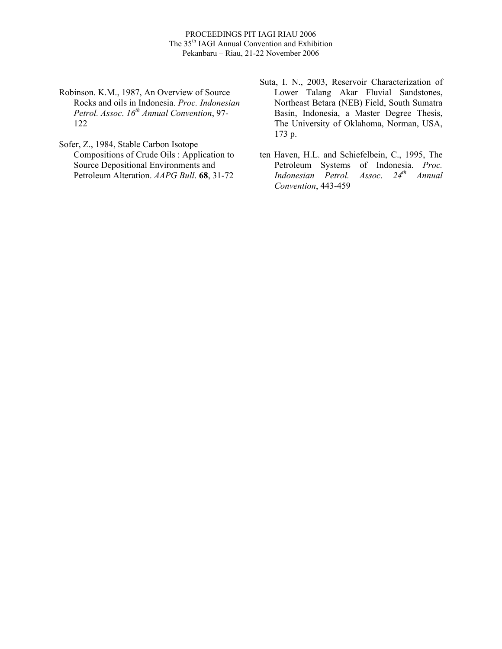- Robinson. K.M., 1987, An Overview of Source Rocks and oils in Indonesia. *Proc. Indonesian Petrol. Assoc*. *16th Annual Convention*, 97- 122
- Sofer, Z., 1984, Stable Carbon Isotope Compositions of Crude Oils : Application to Source Depositional Environments and Petroleum Alteration. *AAPG Bull*. **68**, 31-72
- Suta, I. N., 2003, Reservoir Characterization of Lower Talang Akar Fluvial Sandstones, Northeast Betara (NEB) Field, South Sumatra Basin, Indonesia, a Master Degree Thesis, The University of Oklahoma, Norman, USA, 173 p.
- ten Haven, H.L. and Schiefelbein, C., 1995, The Petroleum Systems of Indonesia. *Proc. Indonesian Petrol. Assoc*. *24th Annual Convention*, 443-459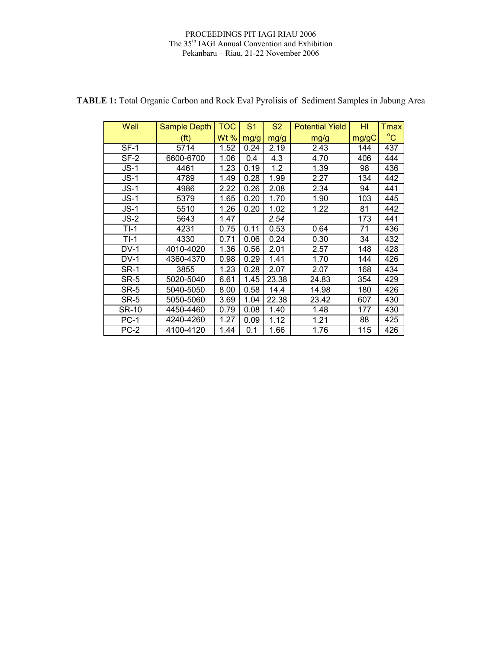#### PROCEEDINGS PIT IAGI RIAU 2006 The 35<sup>th</sup> IAGI Annual Convention and Exhibition Pekanbaru – Riau, 21-22 November 2006

| Well         | <b>Sample Depth</b> | тос    | S <sub>1</sub> | <b>S2</b> | <b>Potential Yield</b> | HI    | Tmax         |
|--------------|---------------------|--------|----------------|-----------|------------------------|-------|--------------|
|              | (ft)                | Wt $%$ | mg/g           | mg/g      | mg/g                   | mg/gC | $^{\circ}$ C |
| $SF-1$       | 5714                | 1.52   | 0.24           | 2.19      | 2.43                   | 144   | 437          |
| SF-2         | 6600-6700           | 1.06   | 0.4            | 4.3       | 4.70                   | 406   | 444          |
| $JS-1$       | 4461                | 1.23   | 0.19           | 1.2       | 1.39                   | 98    | 436          |
| $JS-1$       | 4789                | 1.49   | 0.28           | 1.99      | 2.27                   | 134   | 442          |
| $JS-1$       | 4986                | 2.22   | 0.26           | 2.08      | 2.34                   | 94    | 441          |
| $JS-1$       | 5379                | 1.65   | 0.20           | 1.70      | 1.90                   | 103   | 445          |
| $JS-1$       | 5510                | 1.26   | 0.20           | 1.02      | 1.22                   | 81    | 442          |
| $JS-2$       | 5643                | 1.47   |                | 2.54      |                        | 173   | 441          |
| $TI-1$       | 4231                | 0.75   | 0.11           | 0.53      | 0.64                   | 71    | 436          |
| $TI-1$       | 4330                | 0.71   | 0.06           | 0.24      | 0.30                   | 34    | 432          |
| $DV-1$       | 4010-4020           | 1.36   | 0.56           | 2.01      | 2.57                   | 148   | 428          |
| $DV-1$       | 4360-4370           | 0.98   | 0.29           | 1.41      | 1.70                   | 144   | 426          |
| <b>SR-1</b>  | 3855                | 1.23   | 0.28           | 2.07      | 2.07                   | 168   | 434          |
| SR-5         | 5020-5040           | 6.61   | 1.45           | 23.38     | 24.83                  | 354   | 429          |
| SR-5         | 5040-5050           | 8.00   | 0.58           | 14.4      | 14.98                  | 180   | 426          |
| SR-5         | 5050-5060           | 3.69   | 1.04           | 22.38     | 23.42                  | 607   | 430          |
| <b>SR-10</b> | 4450-4460           | 0.79   | 0.08           | 1.40      | 1.48                   | 177   | 430          |
| $PC-1$       | 4240-4260           | 1.27   | 0.09           | 1.12      | 1.21                   | 88    | 425          |
| $PC-2$       | 4100-4120           | 1.44   | 0.1            | 1.66      | 1.76                   | 115   | 426          |

**TABLE 1:** Total Organic Carbon and Rock Eval Pyrolisis of Sediment Samples in Jabung Area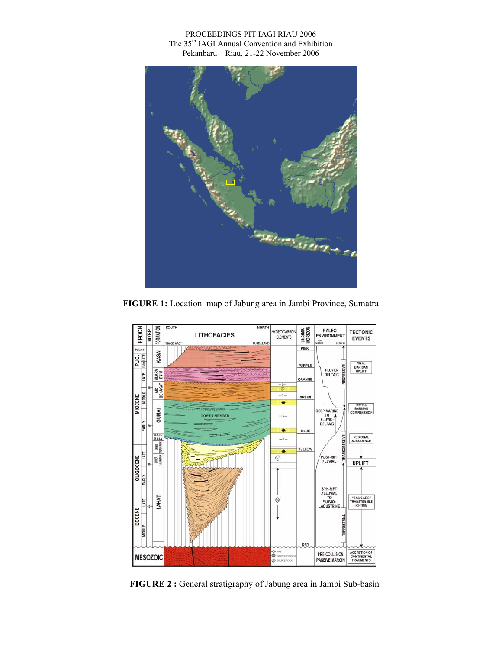#### PROCEEDINGS PIT IAGI RIAU 2006 The 35<sup>th</sup> IAGI Annual Convention and Exhibition Pekanbaru – Riau, 21-22 November 2006



**FIGURE 1:** Location map of Jabung area in Jambi Province, Sumatra



**FIGURE 2 :** General stratigraphy of Jabung area in Jambi Sub-basin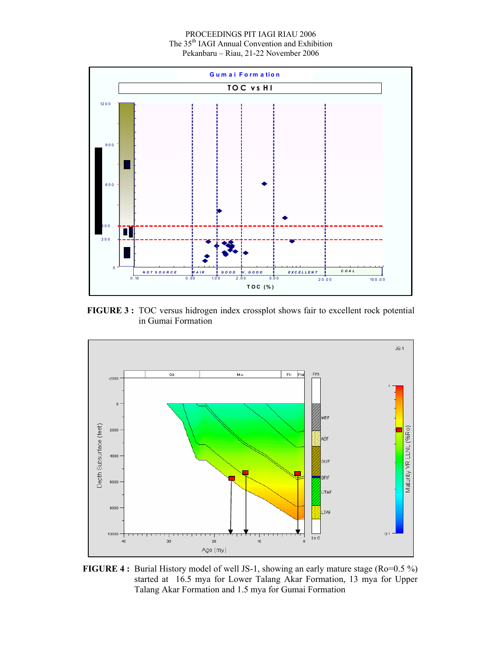PROCEEDINGS PIT IAGI RIAU 2006 The 35<sup>th</sup> IAGI Annual Convention and Exhibition Pekanbaru – Riau, 21-22 November 2006



**FIGURE 3 :** TOC versus hidrogen index crossplot shows fair to excellent rock potential in Gumai Formation



**FIGURE 4 :** Burial History model of well JS-1, showing an early mature stage (Ro=0.5 %) started at 16.5 mya for Lower Talang Akar Formation, 13 mya for Upper Talang Akar Formation and 1.5 mya for Gumai Formation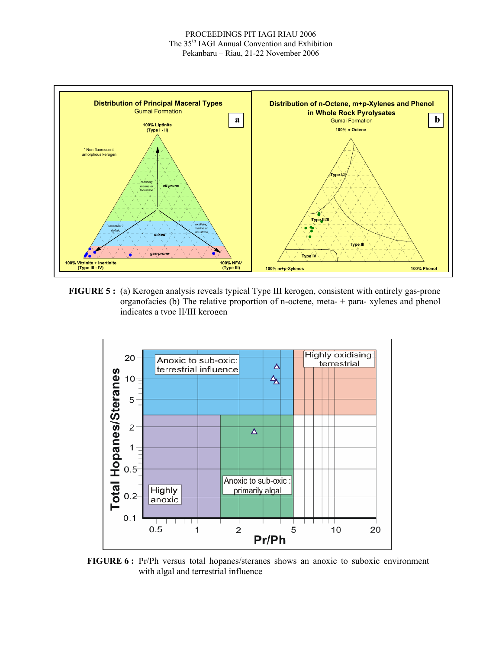

**FIGURE 5 :** (a) Kerogen analysis reveals typical Type III kerogen, consistent with entirely gas-prone organofacies (b) The relative proportion of n-octene, meta- $+$  para- xylenes and phenol indicates a type II/III kerogen



**FIGURE 6 :** Pr/Ph versus total hopanes/steranes shows an anoxic to suboxic environment with algal and terrestrial influence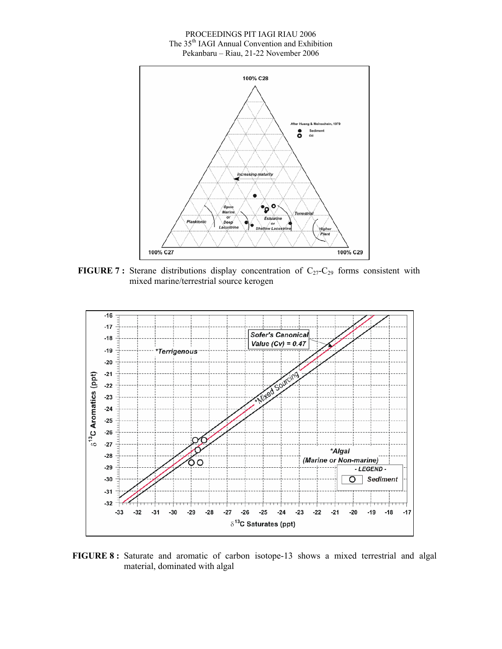#### PROCEEDINGS PIT IAGI RIAU 2006 The 35<sup>th</sup> IAGI Annual Convention and Exhibition Pekanbaru – Riau, 21-22 November 2006



**FIGURE 7:** Sterane distributions display concentration of  $C_{27}-C_{29}$  forms consistent with mixed marine/terrestrial source kerogen



**FIGURE 8 :** Saturate and aromatic of carbon isotope-13 shows a mixed terrestrial and algal material, dominated with algal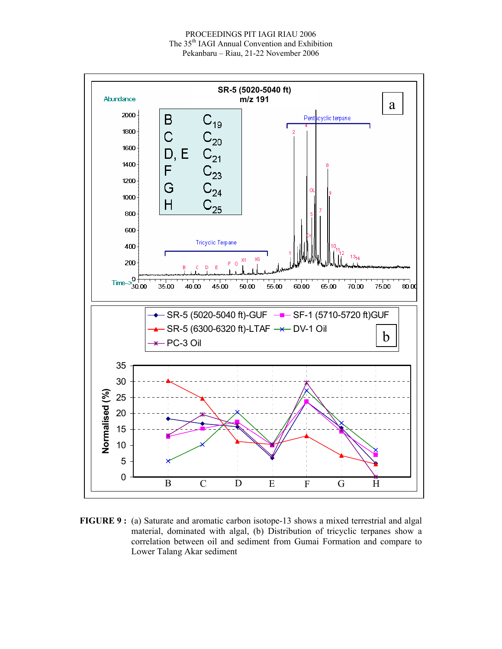

**FIGURE 9 :** (a) Saturate and aromatic carbon isotope-13 shows a mixed terrestrial and algal material, dominated with algal, (b) Distribution of tricyclic terpanes show a correlation between oil and sediment from Gumai Formation and compare to Lower Talang Akar sediment